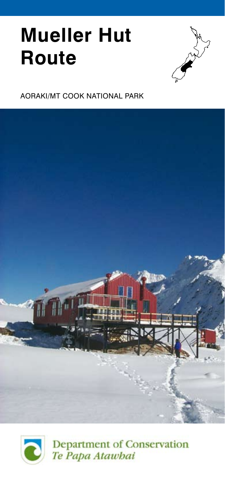# **Mueller Hut Route**



## aoraki/mt cook national park



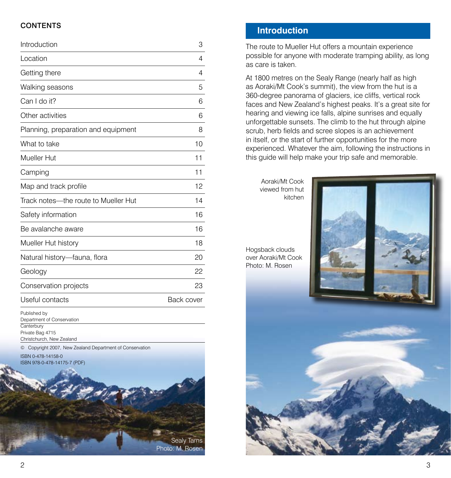## **CONTENTS**

| Introduction                                             | 3          |
|----------------------------------------------------------|------------|
| Location                                                 | 4          |
| Getting there                                            | 4          |
| Walking seasons                                          | 5          |
| Can I do it?                                             | 6          |
| Other activities                                         | 6          |
| Planning, preparation and equipment                      | 8          |
| What to take                                             | 10         |
| Mueller Hut                                              | 11         |
| Camping                                                  | 11         |
| Map and track profile                                    | 12         |
| Track notes—the route to Mueller Hut                     | 14         |
| Safety information                                       | 16         |
| Be avalanche aware                                       | 16         |
| Mueller Hut history                                      | 18         |
| Natural history-fauna, flora                             | 20         |
| Geology                                                  | 22         |
| Conservation projects                                    | 23         |
| Useful contacts                                          | Back cover |
| Published by<br>Department of Conservation<br>Canterbury |            |
| Private Bag 4715<br>Christchurch, New Zealand            |            |



## **Introduction**

The route to Mueller Hut offers a mountain experience possible for anyone with moderate tramping ability, as long as care is taken.

At 1800 metres on the Sealy Range (nearly half as high as Aoraki/Mt Cook's summit), the view from the hut is a 360-degree panorama of glaciers, ice cliffs, vertical rock faces and New Zealand's highest peaks. It's a great site for hearing and viewing ice falls, alpine sunrises and equally unforgettable sunsets. The climb to the hut through alpine scrub, herb fields and scree slopes is an achievement in itself, or the start of further opportunities for the more experienced. Whatever the aim, following the instructions in this guide will help make your trip safe and memorable.

Aoraki/Mt Cook viewed from hut

and a

Hogsback clouds over Aoraki/Mt Cook Photo: M. Rosen

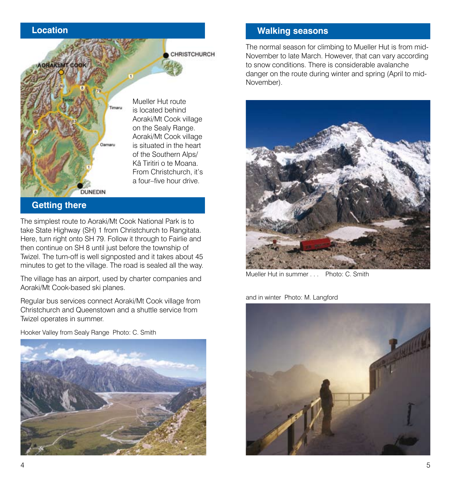# **Location**



## **Getting there**

The simplest route to Aoraki/Mt Cook National Park is to take State Highway (SH) 1 from Christchurch to Rangitata. Here, turn right onto SH 79. Follow it through to Fairlie and then continue on SH 8 until just before the township of Twizel. The turn-off is well signposted and it takes about 45 minutes to get to the village. The road is sealed all the way.

The village has an airport, used by charter companies and Aoraki/Mt Cook-based ski planes.

Regular bus services connect Aoraki/Mt Cook village from Christchurch and Queenstown and a shuttle service from Twizel operates in summer.

Hooker Valley from Sealy Range Photo: C. Smith



# **Walking seasons**

The normal season for climbing to Mueller Hut is from mid-November to late March. However, that can vary according to snow conditions. There is considerable avalanche danger on the route during winter and spring (April to mid-November).



Mueller Hut in summer . . . Photo: C. Smith

and in winter Photo: M. Langford

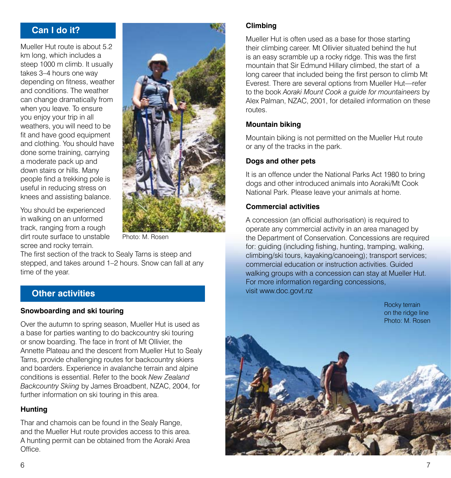# **Can I do it?**

Mueller Hut route is about 5.2 km long, which includes a steep 1000 m climb. It usually takes 3–4 hours one way depending on fitness, weather and conditions. The weather can change dramatically from when you leave. To ensure you enjoy your trip in all weathers, you will need to be fit and have good equipment and clothing. You should have done some training, carrying a moderate pack up and down stairs or hills. Many people find a trekking pole is useful in reducing stress on knees and assisting balance.

You should be experienced in walking on an unformed track, ranging from a rough dirt route surface to unstable scree and rocky terrain.



Photo: M. Rosen

The first section of the track to Sealy Tarns is steep and stepped, and takes around 1–2 hours. Snow can fall at any time of the year.

## **Other activities**

#### **Snowboarding and ski touring**

Over the autumn to spring season, Mueller Hut is used as a base for parties wanting to do backcountry ski touring or snow boarding. The face in front of Mt Ollivier, the Annette Plateau and the descent from Mueller Hut to Sealy Tarns, provide challenging routes for backcountry skiers and boarders. Experience in avalanche terrain and alpine conditions is essential. Refer to the book New Zealand Backcountry Skiing by James Broadbent, NZAC, 2004, for further information on ski touring in this area.

## **Hunting**

Thar and chamois can be found in the Sealy Range, and the Mueller Hut route provides access to this area. A hunting permit can be obtained from the Aoraki Area Office.

## **Climbing**

Mueller Hut is often used as a base for those starting their climbing career. Mt Ollivier situated behind the hut is an easy scramble up a rocky ridge. This was the first mountain that Sir Edmund Hillary climbed, the start of a long career that included being the first person to climb Mt Everest. There are several options from Mueller Hut—refer to the book Aoraki Mount Cook a guide for mountaineers by Alex Palman, NZAC, 2001, for detailed information on these routes.

### **Mountain biking**

Mountain biking is not permitted on the Mueller Hut route or any of the tracks in the park.

### **Dogs and other pets**

It is an offence under the National Parks Act 1980 to bring dogs and other introduced animals into Aoraki/Mt Cook National Park. Please leave your animals at home.

#### **Commercial activities**

A concession (an official authorisation) is required to operate any commercial activity in an area managed by the Department of Conservation. Concessions are required for: guiding (including fishing, hunting, tramping, walking, climbing/ski tours, kayaking/canoeing); transport services; commercial education or instruction activities. Guided walking groups with a concession can stay at Mueller Hut. For more information regarding concessions, visit www.doc.govt.nz

> Rocky terrain on the ridge line Photo: M. Rosen

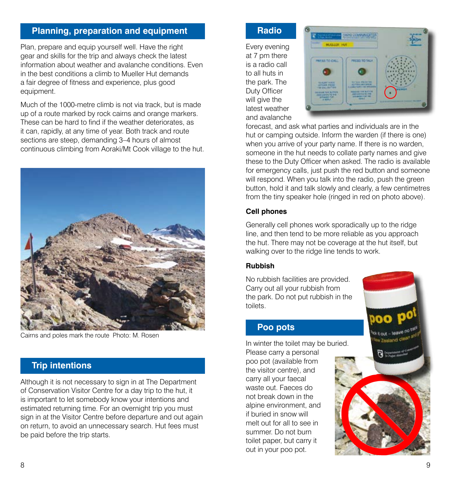# **Planning, preparation and equipment**

Plan, prepare and equip yourself well. Have the right gear and skills for the trip and always check the latest information about weather and avalanche conditions. Even in the best conditions a climb to Mueller Hut demands a fair degree of fitness and experience, plus good equipment.

Much of the 1000-metre climb is not via track, but is made up of a route marked by rock cairns and orange markers. These can be hard to find if the weather deteriorates, as it can, rapidly, at any time of year. Both track and route sections are steep, demanding 3–4 hours of almost continuous climbing from Aoraki/Mt Cook village to the hut.



Cairns and poles mark the route Photo: M. Rosen

# **Trip intentions**

Although it is not necessary to sign in at The Department of Conservation Visitor Centre for a day trip to the hut, it is important to let somebody know your intentions and estimated returning time. For an overnight trip you must sign in at the Visitor Centre before departure and out again on return, to avoid an unnecessary search. Hut fees must be paid before the trip starts.

#### **Radio**

Every evening at 7 pm there is a radio call to all huts in the park. The Duty Officer will give the latest weather and avalanche



forecast, and ask what parties and individuals are in the hut or camping outside. Inform the warden (if there is one) when you arrive of your party name. If there is no warden, someone in the hut needs to collate party names and give these to the Duty Officer when asked. The radio is available for emergency calls, just push the red button and someone will respond. When you talk into the radio, push the green button, hold it and talk slowly and clearly, a few centimetres from the tiny speaker hole (ringed in red on photo above).

## **Cell phones**

Generally cell phones work sporadically up to the ridge line, and then tend to be more reliable as you approach the hut. There may not be coverage at the hut itself, but walking over to the ridge line tends to work.

### **Rubbish**

No rubbish facilities are provided. Carry out all your rubbish from the park. Do not put rubbish in the toilets.

## **Poo pots**

In winter the toilet may be buried.

Please carry a personal poo pot (available from the visitor centre), and carry all your faecal waste out. Faeces do not break down in the alpine environment, and if buried in snow will melt out for all to see in summer. Do not burn toilet paper, but carry it out in your poo pot.

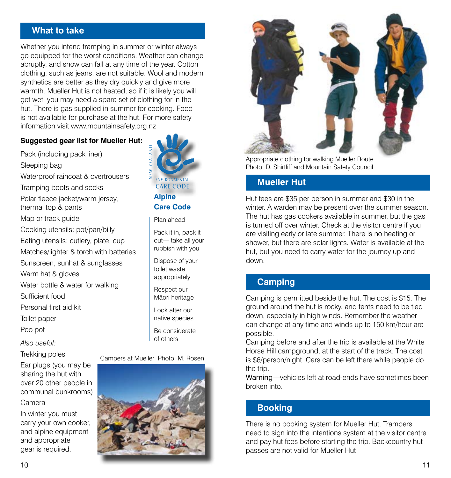## **What to take**

Whether you intend tramping in summer or winter always go equipped for the worst conditions. Weather can change abruptly, and snow can fall at any time of the year. Cotton clothing, such as jeans, are not suitable. Wool and modern synthetics are better as they dry quickly and give more warmth. Mueller Hut is not heated, so if it is likely you will get wet, you may need a spare set of clothing for in the hut. There is gas supplied in summer for cooking. Food is not available for purchase at the hut. For more safety information visit www.mountainsafety.org.nz

## **Suggested gear list for Mueller Hut:**

Pack (including pack liner) Sleeping bag Waterproof raincoat & overtrousers Tramping boots and socks Polar fleece jacket/warm jersey, thermal top & pants Map or track guide Cooking utensils: pot/pan/billy Eating utensils: cutlery, plate, cup Matches/lighter & torch with batteries Sunscreen, sunhat & sunglasses Warm hat & gloves Water bottle & water for walking Sufficient food Personal first aid kit

Toilet paper

Poo pot

Also useful:

Trekking poles

Ear plugs (you may be sharing the hut with over 20 other people in communal bunkrooms) Camera

In winter you must carry your own cooker, and alpine equipment and appropriate gear is required.



Plan ahead

Pack it in, pack it out— take all your rubbish with you

Dispose of your toilet waste appropriately

Respect our Mäori heritage

Look after our native species

Be considerate of others

Campers at Mueller Photo: M. Rosen





Appropriate clothing for walking Mueller Route Photo: D. Shirtliff and Mountain Safety Council

# **Mueller Hut**

Hut fees are \$35 per person in summer and \$30 in the winter. A warden may be present over the summer season. The hut has gas cookers available in summer, but the gas is turned off over winter. Check at the visitor centre if you are visiting early or late summer. There is no heating or shower, but there are solar lights. Water is available at the hut, but you need to carry water for the journey up and down.

# **Camping**

Camping is permitted beside the hut. The cost is \$15. The ground around the hut is rocky, and tents need to be tied down, especially in high winds. Remember the weather can change at any time and winds up to 150 km/hour are possible.

Camping before and after the trip is available at the White Horse Hill campground, at the start of the track. The cost is \$6/person/night. Cars can be left there while people do the trip.

Warning—vehicles left at road-ends have sometimes been broken into.

# **Booking**

There is no booking system for Mueller Hut. Trampers need to sign into the intentions system at the visitor centre and pay hut fees before starting the trip. Backcountry hut passes are not valid for Mueller Hut.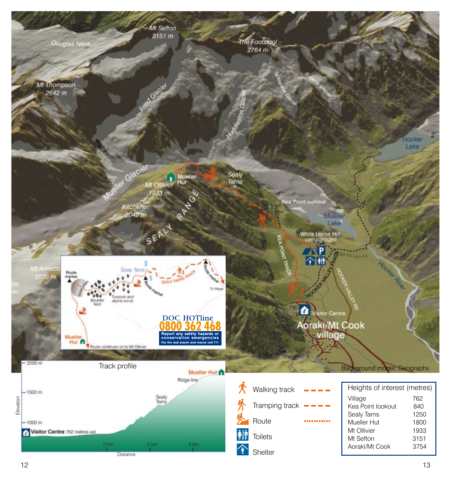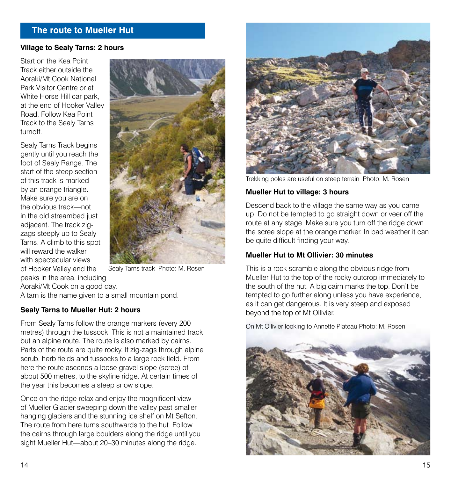# **The route to Mueller Hut**

#### **Village to Sealy Tarns: 2 hours**

Start on the Kea Point Track either outside the Aoraki/Mt Cook National Park Visitor Centre or at White Horse Hill car park, at the end of Hooker Valley Road. Follow Kea Point Track to the Sealy Tarns turnoff.

Sealy Tarns Track begins gently until you reach the foot of Sealy Range. The start of the steep section of this track is marked by an orange triangle. Make sure you are on the obvious track—not in the old streambed just adjacent. The track zigzags steeply up to Sealy Tarns. A climb to this spot will reward the walker with spectacular views of Hooker Valley and the peaks in the area, including



Sealy Tarns track Photo: M. Rosen

Aoraki/Mt Cook on a good day. A tarn is the name given to a small mountain pond.

#### **Sealy Tarns to Mueller Hut: 2 hours**

From Sealy Tarns follow the orange markers (every 200 metres) through the tussock. This is not a maintained track but an alpine route. The route is also marked by cairns. Parts of the route are quite rocky. It zig-zags through alpine scrub, herb fields and tussocks to a large rock field. From here the route ascends a loose gravel slope (scree) of about 500 metres, to the skyline ridge. At certain times of the year this becomes a steep snow slope.

Once on the ridge relax and enjoy the magnificent view of Mueller Glacier sweeping down the valley past smaller hanging glaciers and the stunning ice shelf on Mt Sefton. The route from here turns southwards to the hut. Follow the cairns through large boulders along the ridge until you sight Mueller Hut—about 20–30 minutes along the ridge.



Trekking poles are useful on steep terrain Photo: M. Rosen

#### **Mueller Hut to village: 3 hours**

Descend back to the village the same way as you came up. Do not be tempted to go straight down or veer off the route at any stage. Make sure you turn off the ridge down the scree slope at the orange marker. In bad weather it can be quite difficult finding your way.

#### **Mueller Hut to Mt Ollivier: 30 minutes**

This is a rock scramble along the obvious ridge from Mueller Hut to the top of the rocky outcrop immediately to the south of the hut. A big cairn marks the top. Don't be tempted to go further along unless you have experience, as it can get dangerous. It is very steep and exposed beyond the top of Mt Ollivier.

On Mt Ollivier looking to Annette Plateau Photo: M. Rosen

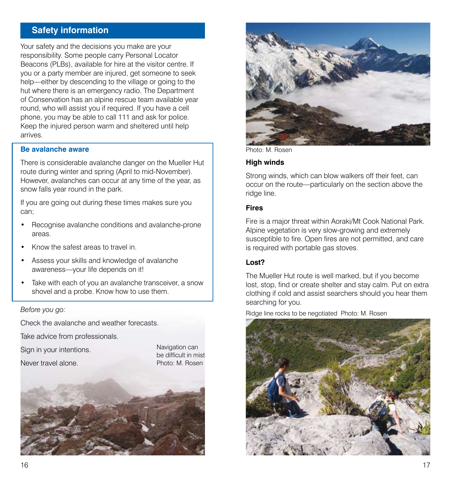# **Safety information**

Your safety and the decisions you make are your responsibility. Some people carry Personal Locator Beacons (PLBs), available for hire at the visitor centre. If you or a party member are injured, get someone to seek help—either by descending to the village or going to the hut where there is an emergency radio. The Department of Conservation has an alpine rescue team available year round, who will assist you if required. If you have a cell phone, you may be able to call 111 and ask for police. Keep the injured person warm and sheltered until help arrives.

#### **Be avalanche aware**

There is considerable avalanche danger on the Mueller Hut route during winter and spring (April to mid-November). However, avalanches can occur at any time of the year, as snow falls year round in the park.

If you are going out during these times makes sure you can;

- Recognise avalanche conditions and avalanche-prone areas.
- Know the safest areas to travel in.
- Assess your skills and knowledge of avalanche awareness—your life depends on it!
- Take with each of you an avalanche transceiver, a snow shovel and a probe. Know how to use them.

#### Before you go:

Check the avalanche and weather forecasts.

Take advice from professionals.

Sign in your intentions.

Never travel alone.

Navigation can be difficult in mist Photo: M. Rosen





Photo: M. Rosen

#### **High winds**

Strong winds, which can blow walkers off their feet, can occur on the route—particularly on the section above the ridge line.

#### **Fires**

Fire is a major threat within Aoraki/Mt Cook National Park. Alpine vegetation is very slow-growing and extremely susceptible to fire. Open fires are not permitted, and care is required with portable gas stoves.

### **Lost?**

The Mueller Hut route is well marked, but if you become lost, stop, find or create shelter and stay calm. Put on extra clothing if cold and assist searchers should you hear them searching for you.

Ridge line rocks to be negotiated Photo: M. Rosen

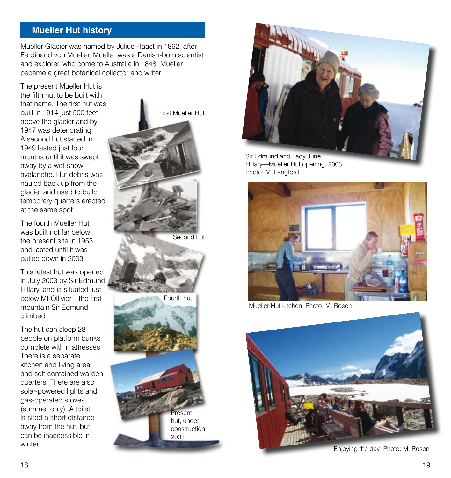## **Mueller Hut history**

Mueller Glacier was named by Julius Haast in 1862, after Ferdinand von Mueller. Mueller was a Danish-born scientist and explorer, who come to Australia in 1848. Mueller became a great botanical collector and writer.

The present Mueller Hut is the fifth hut to be built with that name. The first hut was built in 1914 just 500 feet above the glacier and by 1947 was deteriorating. A second hut started in 1949 lasted just four months until it was swept away by a wet-snow avalanche. Hut debris was hauled back up from the glacier and used to build temporary quarters erected at the same spot.

The fourth Mueller Hut was built not far below the present site in 1953, and lasted until it was pulled down in 2003.

This latest hut was opened in July 2003 by Sir Edmund Hillary, and is situated just below Mt Ollivier—the first mountain Sir Edmund climbed.

The hut can sleep 28 people on platform bunks complete with mattresses. There is a separate kitchen and living area and self-contained warden quarters. There are also solar-powered lights and gas-operated stoves (summer only). A toilet is sited a short distance away from the hut, but can be inaccessible in winter





Sir Edmund and Lady June Hillary—Mueller Hut opening, 2003 Photo: M. Langford



Mueller Hut kitchen Photo: M. Rosen



Enjoying the day Photo: M. Rosen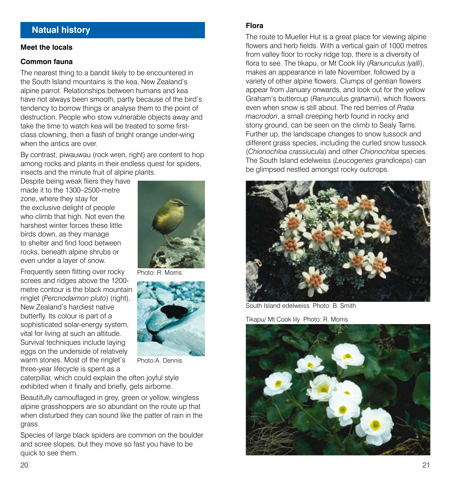## **Natual history**

#### **Meet the locals**

#### **Common fauna**

The nearest thing to a bandit likely to be encountered in the South Island mountains is the kea, New Zealand's alpine parrot. Relationships between humans and kea have not always been smooth, partly because of the bird's tendency to borrow things or analyse them to the point of destruction. People who stow vulnerable objects away and take the time to watch kea will be treated to some firstclass clowning, then a flash of bright orange under-wing when the antics are over.

By contrast, piwauwau (rock wren, right) are content to hop among rocks and plants in their endless quest for spiders, insects and the minute fruit of alpine plants.

Despite being weak fliers they have made it to the 1300–2500-metre zone, where they stay for the exclusive delight of people who climb that high. Not even the harshest winter forces these little birds down, as they manage to shelter and find food between rocks, beneath alpine shrubs or even under a layer of snow.

Frequently seen flitting over rocky screes and ridges above the 1200 metre contour is the black mountain ringlet (Percnodaimon pluto) (right), New Zealand's hardiest native butterfly. Its colour is part of a sophisticated solar-energy system, vital for living at such an altitude. Survival techniques include laying eggs on the underside of relatively warm stones. Most of the ringlet's three-year lifecycle is spent as a



Photo: R. Morris



Photo:A. Dennis

caterpillar, which could explain the often joyful style exhibited when it finally and briefly, gets airborne.

Beautifully camouflaged in grey, green or yellow, wingless alpine grasshoppers are so abundant on the route up that when disturbed they can sound like the patter of rain in the grass.

Species of large black spiders are common on the boulder and scree slopes, but they move so fast you have to be quick to see them.

#### **Flora**

The route to Mueller Hut is a great place for viewing alpine flowers and herb fields. With a vertical gain of 1000 metres from valley floor to rocky ridge top, there is a diversity of flora to see. The tikapu, or Mt Cook lily (Ranunculus Ivalli), makes an appearance in late November, followed by a variety of other alpine flowers. Clumps of gentian flowers appear from January onwards, and look out for the yellow Graham's buttercup (Ranunculus grahamii), which flowers even when snow is still about. The red berries of Pratia macrodon, a small creeping herb found in rocky and stony ground, can be seen on the climb to Sealy Tarns. Further up, the landscape changes to snow tussock and different grass species, including the curled snow tussock (Chionochloa crassiucula) and other Chionochloa species. The South Island edelweiss (Leucogenes grandiceps) can be glimpsed nestled amongst rocky outcrops.



South Island edelweiss Photo: B. Smith

Tikapu/ Mt Cook lily Photo: R. Morris

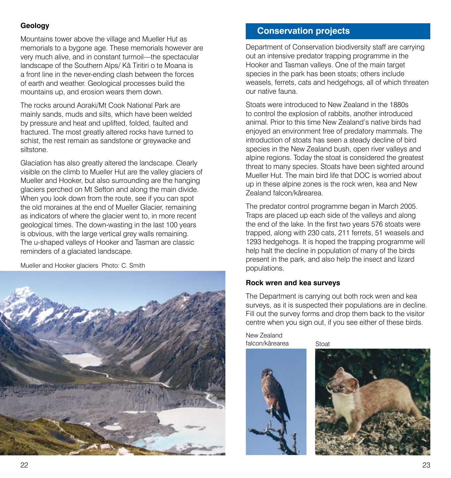## **Geology**

Mountains tower above the village and Mueller Hut as memorials to a bygone age. These memorials however are very much alive, and in constant turmoil—the spectacular landscape of the Southern Alps/ Kä Tiritiri o te Moana is a front line in the never-ending clash between the forces of earth and weather. Geological processes build the mountains up, and erosion wears them down.

The rocks around Aoraki/Mt Cook National Park are mainly sands, muds and silts, which have been welded by pressure and heat and uplifted, folded, faulted and fractured. The most greatly altered rocks have turned to schist, the rest remain as sandstone or greywacke and siltstone.

Glaciation has also greatly altered the landscape. Clearly visible on the climb to Mueller Hut are the valley glaciers of Mueller and Hooker, but also surrounding are the hanging glaciers perched on Mt Sefton and along the main divide. When you look down from the route, see if you can spot the old moraines at the end of Mueller Glacier, remaining as indicators of where the glacier went to, in more recent geological times. The down-wasting in the last 100 years is obvious, with the large vertical grey walls remaining. The u-shaped valleys of Hooker and Tasman are classic reminders of a glaciated landscape.

Mueller and Hooker glaciers Photo: C. Smith



# **Conservation projects**

Department of Conservation biodiversity staff are carrying out an intensive predator trapping programme in the Hooker and Tasman valleys. One of the main target species in the park has been stoats; others include weasels, ferrets, cats and hedgehogs, all of which threaten our native fauna.

Stoats were introduced to New Zealand in the 1880s to control the explosion of rabbits, another introduced animal. Prior to this time New Zealand's native birds had enjoyed an environment free of predatory mammals. The introduction of stoats has seen a steady decline of bird species in the New Zealand bush, open river valleys and alpine regions. Today the stoat is considered the greatest threat to many species. Stoats have been sighted around Mueller Hut. The main bird life that DOC is worried about up in these alpine zones is the rock wren, kea and New Zealand falcon/kärearea.

The predator control programme began in March 2005. Traps are placed up each side of the valleys and along the end of the lake. In the first two years 576 stoats were trapped, along with 230 cats, 211 ferrets, 51 weasels and 1293 hedgehogs. It is hoped the trapping programme will help halt the decline in population of many of the birds present in the park, and also help the insect and lizard populations.

## **Rock wren and kea surveys**

The Department is carrying out both rock wren and kea surveys, as it is suspected their populations are in decline. Fill out the survey forms and drop them back to the visitor centre when you sign out, if you see either of these birds.

New Zealand falcon/kärearea



**Stoat**